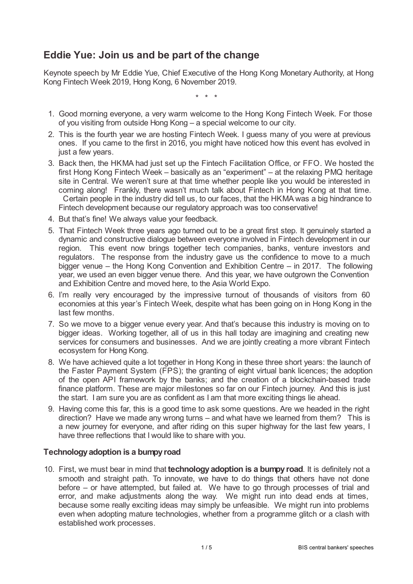# **Eddie Yue: Join us and be part of the change**

Keynote speech by Mr Eddie Yue, Chief Executive of the Hong Kong Monetary Authority, at Hong Kong Fintech Week 2019, Hong Kong, 6 November 2019.

\* \* \*

- 1. Good morning everyone, a very warm welcome to the Hong Kong Fintech Week. For those of you visiting from outside Hong Kong – a special welcome to our city.
- 2. This is the fourth year we are hosting Fintech Week. I guess many of you were at previous ones. If you came to the first in 2016, you might have noticed how this event has evolved in just a few years.
- 3. Back then, the HKMA had just set up the Fintech Facilitation Office, or FFO. We hosted the first Hong Kong Fintech Week – basically as an "experiment" – at the relaxing PMQ heritage site in Central. We weren't sure at that time whether people like you would be interested in coming along! Frankly, there wasn't much talk about Fintech in Hong Kong at that time. Certain people in the industry did tell us, to our faces, that the HKMA was a big hindrance to Fintech development because our regulatory approach was too conservative!
- 4. But that's fine! We always value your feedback.
- 5. That Fintech Week three years ago turned out to be a great first step. It genuinely started a dynamic and constructive dialogue between everyone involved in Fintech development in our region. This event now brings together tech companies, banks, venture investors and regulators. The response from the industry gave us the confidence to move to a much bigger venue – the Hong Kong Convention and Exhibition Centre – in 2017. The following year, we used an even bigger venue there. And this year, we have outgrown the Convention and Exhibition Centre and moved here, to the Asia World Expo.
- 6. I'm really very encouraged by the impressive turnout of thousands of visitors from 60 economies at this year's Fintech Week, despite what has been going on in Hong Kong in the last few months.
- 7. So we move to a bigger venue every year. And that's because this industry is moving on to bigger ideas. Working together, all of us in this hall today are imagining and creating new services for consumers and businesses. And we are jointly creating a more vibrant Fintech ecosystem for Hong Kong.
- 8. We have achieved quite a lot together in Hong Kong in these three short years: the launch of the Faster Payment System (FPS); the granting of eight virtual bank licences; the adoption of the open API framework by the banks; and the creation of a blockchain-based trade finance platform. These are major milestones so far on our Fintech journey. And this is just the start. I am sure you are as confident as I am that more exciting things lie ahead.
- 9. Having come this far, this is a good time to ask some questions. Are we headed in the right direction? Have we made any wrong turns – and what have we learned from them? This is a new journey for everyone, and after riding on this super highway for the last few years, I have three reflections that I would like to share with you.

## **Technologyadoption is a bumpyroad**

10. First, we must bear in mind that **technology adoption is a bumpy road**. It is definitely not a smooth and straight path. To innovate, we have to do things that others have not done before – or have attempted, but failed at. We have to go through processes of trial and error, and make adjustments along the way. We might run into dead ends at times, because some really exciting ideas may simply be unfeasible. We might run into problems even when adopting mature technologies, whether from a programme glitch or a clash with established work processes.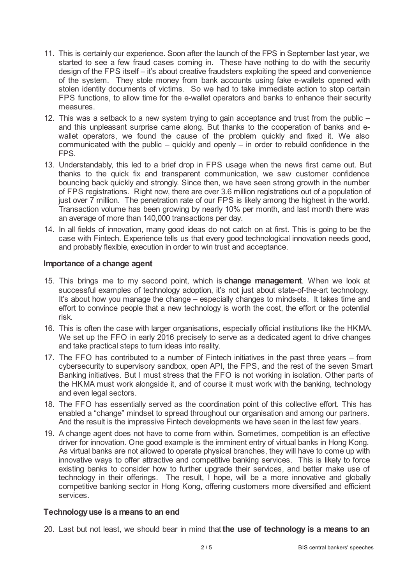- 11. This is certainly our experience. Soon after the launch of the FPS in September last year, we started to see a few fraud cases coming in. These have nothing to do with the security design of the FPS itself – it's about creative fraudsters exploiting the speed and convenience of the system. They stole money from bank accounts using fake e-wallets opened with stolen identity documents of victims. So we had to take immediate action to stop certain FPS functions, to allow time for the e-wallet operators and banks to enhance their security measures.
- 12. This was a setback to a new system trying to gain acceptance and trust from the public and this unpleasant surprise came along. But thanks to the cooperation of banks and ewallet operators, we found the cause of the problem quickly and fixed it. We also communicated with the public – quickly and openly – in order to rebuild confidence in the FPS.
- 13. Understandably, this led to a brief drop in FPS usage when the news first came out. But thanks to the quick fix and transparent communication, we saw customer confidence bouncing back quickly and strongly. Since then, we have seen strong growth in the number of FPS registrations. Right now, there are over 3.6 million registrations out of a population of just over 7 million. The penetration rate of our FPS is likely among the highest in the world. Transaction volume has been growing by nearly 10% per month, and last month there was an average of more than 140,000 transactions per day.
- 14. In all fields of innovation, many good ideas do not catch on at first. This is going to be the case with Fintech. Experience tells us that every good technological innovation needs good, and probably flexible, execution in order to win trust and acceptance.

### **Importance of a change agent**

- 15. This brings me to my second point, which is **change management**. When we look at successful examples of technology adoption, it's not just about state-of-the-art technology. It's about how you manage the change – especially changes to mindsets. It takes time and effort to convince people that a new technology is worth the cost, the effort or the potential risk.
- 16. This is often the case with larger organisations, especially official institutions like the HKMA. We set up the FFO in early 2016 precisely to serve as a dedicated agent to drive changes and take practical steps to turn ideas into reality.
- 17. The FFO has contributed to a number of Fintech initiatives in the past three years from cybersecurity to supervisory sandbox, open API, the FPS, and the rest of the seven Smart Banking initiatives. But I must stress that the FFO is not working in isolation. Other parts of the HKMA must work alongside it, and of course it must work with the banking, technology and even legal sectors.
- 18. The FFO has essentially served as the coordination point of this collective effort. This has enabled a "change" mindset to spread throughout our organisation and among our partners. And the result is the impressive Fintech developments we have seen in the last few years.
- 19. A change agent does not have to come from within. Sometimes, competition is an effective driver for innovation. One good example is the imminent entry of virtual banks in Hong Kong. As virtual banks are not allowed to operate physical branches, they will have to come up with innovative ways to offer attractive and competitive banking services. This is likely to force existing banks to consider how to further upgrade their services, and better make use of technology in their offerings. The result, I hope, will be a more innovative and globally competitive banking sector in Hong Kong, offering customers more diversified and efficient services.

#### **Technologyuse is a means to an end**

20. Last but not least, we should bear in mind that **the use of technology is a means to an**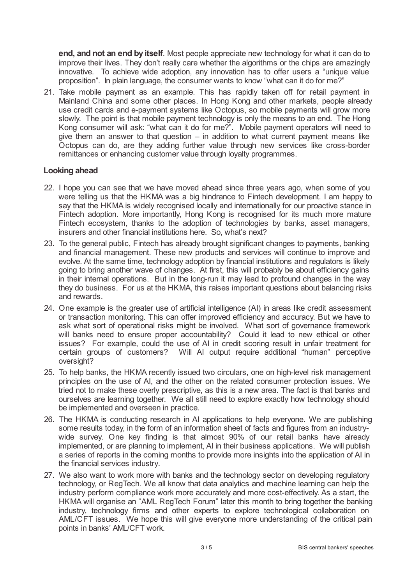**end, and not an end by itself**. Most people appreciate new technology for what it can do to improve their lives. They don't really care whether the algorithms or the chips are amazingly innovative. To achieve wide adoption, any innovation has to offer users a "unique value proposition". In plain language, the consumer wants to know "what can it do for me?"

21. Take mobile payment as an example. This has rapidly taken off for retail payment in Mainland China and some other places. In Hong Kong and other markets, people already use credit cards and e-payment systems like Octopus, so mobile payments will grow more slowly. The point is that mobile payment technology is only the means to an end. The Hong Kong consumer will ask: "what can it do for me?". Mobile payment operators will need to give them an answer to that question – in addition to what current payment means like Octopus can do, are they adding further value through new services like cross-border remittances or enhancing customer value through loyalty programmes.

#### **Looking ahead**

- 22. I hope you can see that we have moved ahead since three years ago, when some of you were telling us that the HKMA was a big hindrance to Fintech development. I am happy to say that the HKMA is widely recognised locally and internationally for our proactive stance in Fintech adoption. More importantly, Hong Kong is recognised for its much more mature Fintech ecosystem, thanks to the adoption of technologies by banks, asset managers, insurers and other financial institutions here. So, what's next?
- 23. To the general public, Fintech has already brought significant changes to payments, banking and financial management. These new products and services will continue to improve and evolve. At the same time, technology adoption by financial institutions and regulators is likely going to bring another wave of changes. At first, this will probably be about efficiency gains in their internal operations. But in the long-run it may lead to profound changes in the way they do business. For us at the HKMA, this raises important questions about balancing risks and rewards.
- 24. One example is the greater use of artificial intelligence (AI) in areas like credit assessment or transaction monitoring. This can offer improved efficiency and accuracy. But we have to ask what sort of operational risks might be involved. What sort of governance framework will banks need to ensure proper accountability? Could it lead to new ethical or other issues? For example, could the use of AI in credit scoring result in unfair treatment for certain groups of customers? Will AI output require additional "human" perceptive oversight?
- 25. To help banks, the HKMA recently issued two circulars, one on high-level risk management principles on the use of AI, and the other on the related consumer protection issues. We tried not to make these overly prescriptive, as this is a new area. The fact is that banks and ourselves are learning together. We all still need to explore exactly how technology should be implemented and overseen in practice.
- 26. The HKMA is conducting research in AI applications to help everyone. We are publishing some results today, in the form of an information sheet of facts and figures from an industrywide survey. One key finding is that almost 90% of our retail banks have already implemented, or are planning to implement, AI in their business applications. We will publish a series of reports in the coming months to provide more insights into the application of AI in the financial services industry.
- 27. We also want to work more with banks and the technology sector on developing regulatory technology, or RegTech. We all know that data analytics and machine learning can help the industry perform compliance work more accurately and more cost-effectively. As a start, the HKMA will organise an "AML RegTech Forum" later this month to bring together the banking industry, technology firms and other experts to explore technological collaboration on AML/CFT issues. We hope this will give everyone more understanding of the critical pain points in banks' AML/CFT work.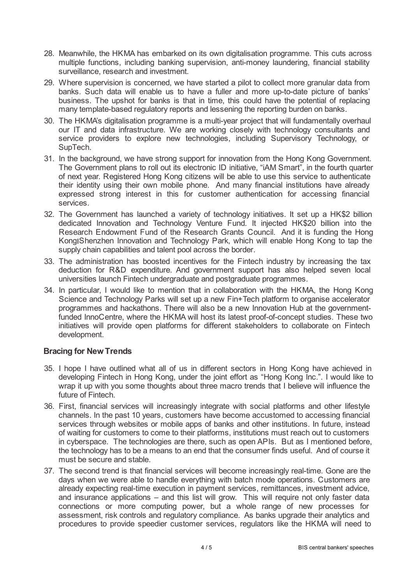- 28. Meanwhile, the HKMA has embarked on its own digitalisation programme. This cuts across multiple functions, including banking supervision, anti-money laundering, financial stability surveillance, research and investment.
- 29. Where supervision is concerned, we have started a pilot to collect more granular data from banks. Such data will enable us to have a fuller and more up-to-date picture of banks' business. The upshot for banks is that in time, this could have the potential of replacing many template-based regulatory reports and lessening the reporting burden on banks.
- 30. The HKMA's digitalisation programme is a multi-year project that will fundamentally overhaul our IT and data infrastructure. We are working closely with technology consultants and service providers to explore new technologies, including Supervisory Technology, or SupTech.
- 31. In the background, we have strong support for innovation from the Hong Kong Government. The Government plans to roll out its electronic ID initiative, "iAM Smart", in the fourth quarter of next year. Registered Hong Kong citizens will be able to use this service to authenticate their identity using their own mobile phone. And many financial institutions have already expressed strong interest in this for customer authentication for accessing financial services.
- 32. The Government has launched a variety of technology initiatives. It set up a HK\$2 billion dedicated Innovation and Technology Venture Fund. It injected HK\$20 billion into the Research Endowment Fund of the Research Grants Council. And it is funding the Hong Kong Shenzhen Innovation and Technology Park, which will enable Hong Kong to tap the supply chain capabilities and talent pool across the border.
- 33. The administration has boosted incentives for the Fintech industry by increasing the tax deduction for R&D expenditure. And government support has also helped seven local universities launch Fintech undergraduate and postgraduate programmes.
- 34. In particular, I would like to mention that in collaboration with the HKMA, the Hong Kong Science and Technology Parks will set up a new Fin+Tech platform to organise accelerator programmes and hackathons. There will also be a new Innovation Hub at the governmentfunded InnoCentre, where the HKMA will host its latest proof-of-concept studies. These two initiatives will provide open platforms for different stakeholders to collaborate on Fintech development.

## **Bracing for NewTrends**

- 35. I hope I have outlined what all of us in different sectors in Hong Kong have achieved in developing Fintech in Hong Kong, under the joint effort as "Hong Kong Inc.". I would like to wrap it up with you some thoughts about three macro trends that I believe will influence the future of Fintech.
- 36. First, financial services will increasingly integrate with social platforms and other lifestyle channels. In the past 10 years, customers have become accustomed to accessing financial services through websites or mobile apps of banks and other institutions. In future, instead of waiting for customers to come to their platforms, institutions must reach out to customers in cyberspace. The technologies are there, such as open APIs. But as I mentioned before, the technology has to be a means to an end that the consumer finds useful. And of course it must be secure and stable.
- 37. The second trend is that financial services will become increasingly real-time. Gone are the days when we were able to handle everything with batch mode operations. Customers are already expecting real-time execution in payment services, remittances, investment advice, and insurance applications – and this list will grow. This will require not only faster data connections or more computing power, but a whole range of new processes for assessment, risk controls and regulatory compliance. As banks upgrade their analytics and procedures to provide speedier customer services, regulators like the HKMA will need to